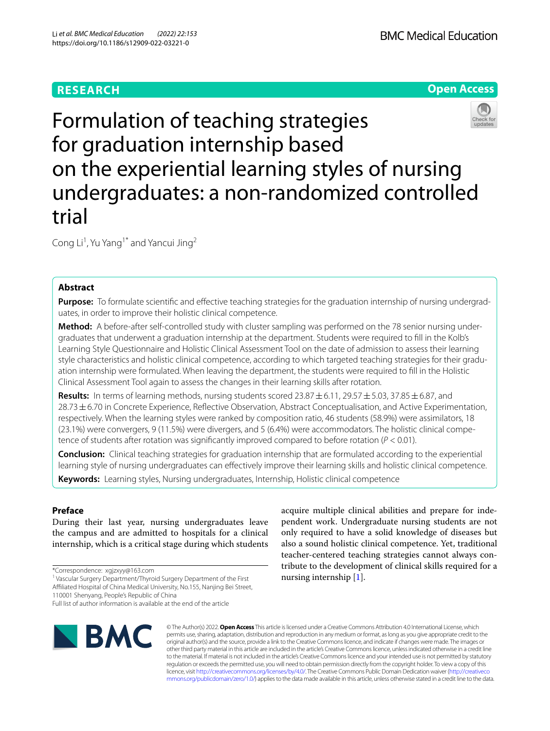# **RESEARCH**





Formulation of teaching strategies for graduation internship based on the experiential learning styles of nursing undergraduates: a non-randomized controlled trial

Cong Li<sup>1</sup>, Yu Yang<sup>1\*</sup> and Yancui Jing<sup>2</sup>

# **Abstract**

**Purpose:** To formulate scientific and effective teaching strategies for the graduation internship of nursing undergraduates, in order to improve their holistic clinical competence.

**Method:** A before-after self-controlled study with cluster sampling was performed on the 78 senior nursing undergraduates that underwent a graduation internship at the department. Students were required to fll in the Kolb's Learning Style Questionnaire and Holistic Clinical Assessment Tool on the date of admission to assess their learning style characteristics and holistic clinical competence, according to which targeted teaching strategies for their graduation internship were formulated. When leaving the department, the students were required to fll in the Holistic Clinical Assessment Tool again to assess the changes in their learning skills after rotation.

**Results:** In terms of learning methods, nursing students scored  $23.87 \pm 6.11$ ,  $29.57 \pm 5.03$ ,  $37.85 \pm 6.87$ , and 28.73±6.70 in Concrete Experience, Refective Observation, Abstract Conceptualisation, and Active Experimentation, respectively. When the learning styles were ranked by composition ratio, 46 students (58.9%) were assimilators, 18 (23.1%) were convergers, 9 (11.5%) were divergers, and 5 (6.4%) were accommodators. The holistic clinical competence of students after rotation was signifcantly improved compared to before rotation (*P* < 0.01).

**Conclusion:** Clinical teaching strategies for graduation internship that are formulated according to the experiential learning style of nursing undergraduates can efectively improve their learning skills and holistic clinical competence.

**Keywords:** Learning styles, Nursing undergraduates, Internship, Holistic clinical competence

# **Preface**

During their last year, nursing undergraduates leave the campus and are admitted to hospitals for a clinical internship, which is a critical stage during which students

<sup>1</sup> Vascular Surgery Department/Thyroid Surgery Department of the First

Afliated Hospital of China Medical University, No.155, Nanjing Bei Street,

Full list of author information is available at the end of the article



acquire multiple clinical abilities and prepare for independent work. Undergraduate nursing students are not only required to have a solid knowledge of diseases but also a sound holistic clinical competence. Yet, traditional teacher-centered teaching strategies cannot always contribute to the development of clinical skills required for a nursing internship [[1](#page-6-0)].

© The Author(s) 2022. **Open Access** This article is licensed under a Creative Commons Attribution 4.0 International License, which permits use, sharing, adaptation, distribution and reproduction in any medium or format, as long as you give appropriate credit to the original author(s) and the source, provide a link to the Creative Commons licence, and indicate if changes were made. The images or other third party material in this article are included in the article's Creative Commons licence, unless indicated otherwise in a credit line to the material. If material is not included in the article's Creative Commons licence and your intended use is not permitted by statutory regulation or exceeds the permitted use, you will need to obtain permission directly from the copyright holder. To view a copy of this licence, visit [http://creativecommons.org/licenses/by/4.0/.](http://creativecommons.org/licenses/by/4.0/) The Creative Commons Public Domain Dedication waiver ([http://creativeco](http://creativecommons.org/publicdomain/zero/1.0/) [mmons.org/publicdomain/zero/1.0/](http://creativecommons.org/publicdomain/zero/1.0/)) applies to the data made available in this article, unless otherwise stated in a credit line to the data.

<sup>\*</sup>Correspondence: xgjzxyy@163.com

<sup>110001</sup> Shenyang, People's Republic of China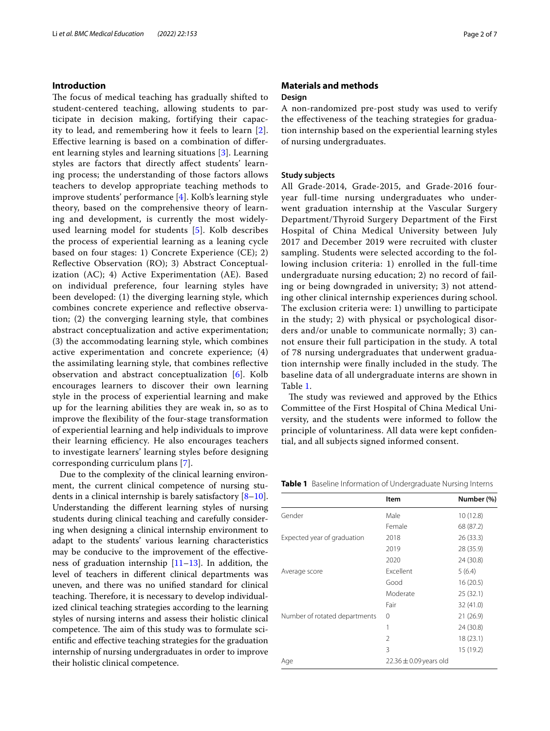# **Introduction**

The focus of medical teaching has gradually shifted to student-centered teaching, allowing students to participate in decision making, fortifying their capacity to lead, and remembering how it feels to learn [[2\]](#page-6-1). Efective learning is based on a combination of diferent learning styles and learning situations [\[3](#page-6-2)]. Learning styles are factors that directly afect students' learning process; the understanding of those factors allows teachers to develop appropriate teaching methods to improve students' performance [[4\]](#page-6-3). Kolb's learning style theory, based on the comprehensive theory of learning and development, is currently the most widelyused learning model for students [\[5](#page-6-4)]. Kolb describes the process of experiential learning as a leaning cycle based on four stages: 1) Concrete Experience (CE); 2) Refective Observation (RO); 3) Abstract Conceptualization (AC); 4) Active Experimentation (AE). Based on individual preference, four learning styles have been developed: (1) the diverging learning style, which combines concrete experience and refective observation; (2) the converging learning style, that combines abstract conceptualization and active experimentation; (3) the accommodating learning style, which combines active experimentation and concrete experience; (4) the assimilating learning style, that combines refective observation and abstract conceptualization [[6\]](#page-6-5). Kolb encourages learners to discover their own learning style in the process of experiential learning and make up for the learning abilities they are weak in, so as to improve the fexibility of the four-stage transformation of experiential learning and help individuals to improve their learning efficiency. He also encourages teachers to investigate learners' learning styles before designing corresponding curriculum plans [\[7](#page-6-6)].

Due to the complexity of the clinical learning environment, the current clinical competence of nursing students in a clinical internship is barely satisfactory  $[8-10]$  $[8-10]$ . Understanding the diferent learning styles of nursing students during clinical teaching and carefully considering when designing a clinical internship environment to adapt to the students' various learning characteristics may be conducive to the improvement of the efectiveness of graduation internship [[11–](#page-6-9)[13](#page-6-10)]. In addition, the level of teachers in diferent clinical departments was uneven, and there was no unifed standard for clinical teaching. Therefore, it is necessary to develop individualized clinical teaching strategies according to the learning styles of nursing interns and assess their holistic clinical competence. The aim of this study was to formulate scientifc and efective teaching strategies for the graduation internship of nursing undergraduates in order to improve their holistic clinical competence.

# **Materials and methods Design**

A non-randomized pre-post study was used to verify the efectiveness of the teaching strategies for graduation internship based on the experiential learning styles of nursing undergraduates.

### **Study subjects**

All Grade-2014, Grade-2015, and Grade-2016 fouryear full-time nursing undergraduates who underwent graduation internship at the Vascular Surgery Department/Thyroid Surgery Department of the First Hospital of China Medical University between July 2017 and December 2019 were recruited with cluster sampling. Students were selected according to the following inclusion criteria: 1) enrolled in the full-time undergraduate nursing education; 2) no record of failing or being downgraded in university; 3) not attending other clinical internship experiences during school. The exclusion criteria were: 1) unwilling to participate in the study; 2) with physical or psychological disorders and/or unable to communicate normally; 3) cannot ensure their full participation in the study. A total of 78 nursing undergraduates that underwent graduation internship were finally included in the study. The baseline data of all undergraduate interns are shown in Table [1](#page-1-0).

The study was reviewed and approved by the Ethics Committee of the First Hospital of China Medical University, and the students were informed to follow the principle of voluntariness. All data were kept confdential, and all subjects signed informed consent.

<span id="page-1-0"></span>**Table 1** Baseline Information of Undergraduate Nursing Interns

|                               | <b>Item</b>                | Number (%) |  |
|-------------------------------|----------------------------|------------|--|
| Gender                        | Male                       | 10 (12.8)  |  |
|                               | Female                     | 68 (87.2)  |  |
| Expected year of graduation   | 2018                       | 26 (33.3)  |  |
|                               | 2019                       | 28 (35.9)  |  |
|                               | 2020                       | 24 (30.8)  |  |
| Average score                 | Excellent                  | 5(6.4)     |  |
|                               | Good                       | 16 (20.5)  |  |
|                               | Moderate                   | 25 (32.1)  |  |
|                               | Fair                       | 32 (41.0)  |  |
| Number of rotated departments | 0                          | 21(26.9)   |  |
|                               | 1                          | 24 (30.8)  |  |
|                               | 2                          | 18 (23.1)  |  |
|                               | 3                          | 15 (19.2)  |  |
| Age                           | $22.36 \pm 0.09$ years old |            |  |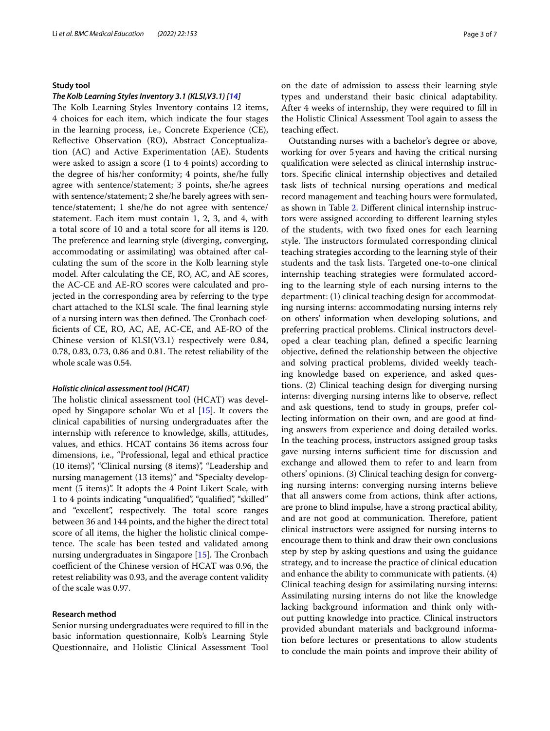### **Study tool**

### *The Kolb Learning Styles Inventory 3.1 (KLSI,V3.1) [\[14\]](#page-6-11)*

The Kolb Learning Styles Inventory contains 12 items, 4 choices for each item, which indicate the four stages in the learning process, i.e., Concrete Experience (CE), Refective Observation (RO), Abstract Conceptualization (AC) and Active Experimentation (AE). Students were asked to assign a score (1 to 4 points) according to the degree of his/her conformity; 4 points, she/he fully agree with sentence/statement; 3 points, she/he agrees with sentence/statement; 2 she/he barely agrees with sentence/statement; 1 she/he do not agree with sentence/ statement. Each item must contain 1, 2, 3, and 4, with a total score of 10 and a total score for all items is 120. The preference and learning style (diverging, converging, accommodating or assimilating) was obtained after calculating the sum of the score in the Kolb learning style model. After calculating the CE, RO, AC, and AE scores, the AC-CE and AE-RO scores were calculated and projected in the corresponding area by referring to the type chart attached to the KLSI scale. The final learning style of a nursing intern was then defined. The Cronbach coeffcients of CE, RO, AC, AE, AC-CE, and AE-RO of the Chinese version of KLSI(V3.1) respectively were 0.84, 0.78, 0.83, 0.73, 0.86 and 0.81. The retest reliability of the whole scale was 0.54.

# *Holistic clinical assessment tool (HCAT)*

The holistic clinical assessment tool (HCAT) was developed by Singapore scholar Wu et al  $[15]$  $[15]$ . It covers the clinical capabilities of nursing undergraduates after the internship with reference to knowledge, skills, attitudes, values, and ethics. HCAT contains 36 items across four dimensions, i.e., "Professional, legal and ethical practice (10 items)", "Clinical nursing (8 items)", "Leadership and nursing management (13 items)" and "Specialty development (5 items)". It adopts the 4 Point Likert Scale, with 1 to 4 points indicating "unqualifed", "qualifed", "skilled" and "excellent", respectively. The total score ranges between 36 and 144 points, and the higher the direct total score of all items, the higher the holistic clinical competence. The scale has been tested and validated among nursing undergraduates in Singapore  $[15]$ . The Cronbach coefficient of the Chinese version of HCAT was 0.96, the retest reliability was 0.93, and the average content validity of the scale was 0.97.

### **Research method**

Senior nursing undergraduates were required to fll in the basic information questionnaire, Kolb's Learning Style Questionnaire, and Holistic Clinical Assessment Tool on the date of admission to assess their learning style types and understand their basic clinical adaptability. After 4 weeks of internship, they were required to fll in the Holistic Clinical Assessment Tool again to assess the teaching efect.

Outstanding nurses with a bachelor's degree or above, working for over 5years and having the critical nursing qualifcation were selected as clinical internship instructors. Specifc clinical internship objectives and detailed task lists of technical nursing operations and medical record management and teaching hours were formulated, as shown in Table [2.](#page-3-0) Diferent clinical internship instructors were assigned according to diferent learning styles of the students, with two fxed ones for each learning style. The instructors formulated corresponding clinical teaching strategies according to the learning style of their students and the task lists. Targeted one-to-one clinical internship teaching strategies were formulated according to the learning style of each nursing interns to the department: (1) clinical teaching design for accommodating nursing interns: accommodating nursing interns rely on others' information when developing solutions, and preferring practical problems. Clinical instructors developed a clear teaching plan, defned a specifc learning objective, defned the relationship between the objective and solving practical problems, divided weekly teaching knowledge based on experience, and asked questions. (2) Clinical teaching design for diverging nursing interns: diverging nursing interns like to observe, refect and ask questions, tend to study in groups, prefer collecting information on their own, and are good at fnding answers from experience and doing detailed works. In the teaching process, instructors assigned group tasks gave nursing interns sufficient time for discussion and exchange and allowed them to refer to and learn from others' opinions. (3) Clinical teaching design for converging nursing interns: converging nursing interns believe that all answers come from actions, think after actions, are prone to blind impulse, have a strong practical ability, and are not good at communication. Therefore, patient clinical instructors were assigned for nursing interns to encourage them to think and draw their own conclusions step by step by asking questions and using the guidance strategy, and to increase the practice of clinical education and enhance the ability to communicate with patients. (4) Clinical teaching design for assimilating nursing interns: Assimilating nursing interns do not like the knowledge lacking background information and think only without putting knowledge into practice. Clinical instructors provided abundant materials and background information before lectures or presentations to allow students to conclude the main points and improve their ability of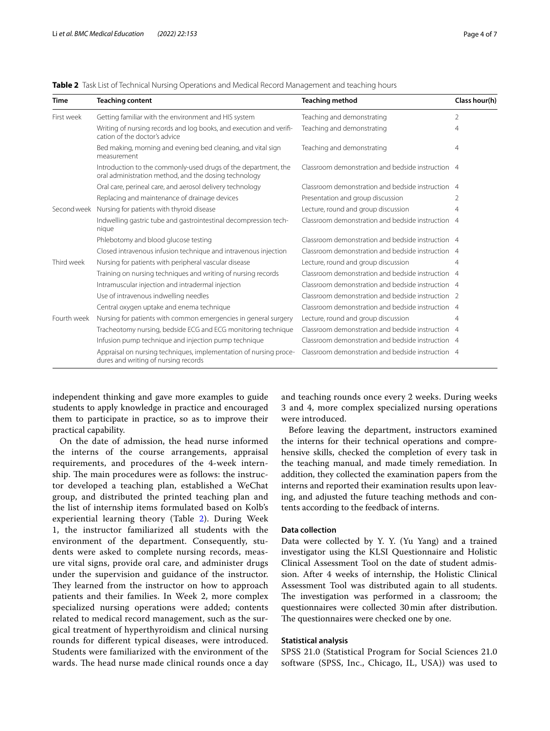<span id="page-3-0"></span>

|  |  | Table 2 Task List of Technical Nursing Operations and Medical Record Management and teaching hours |  |  |  |
|--|--|----------------------------------------------------------------------------------------------------|--|--|--|
|--|--|----------------------------------------------------------------------------------------------------|--|--|--|

| <b>Time</b> | <b>Teaching content</b>                                                                                                 | <b>Teaching method</b>                            | Class hour(h)  |
|-------------|-------------------------------------------------------------------------------------------------------------------------|---------------------------------------------------|----------------|
| First week  | Getting familiar with the environment and HIS system                                                                    | Teaching and demonstrating                        | $\overline{2}$ |
|             | Writing of nursing records and log books, and execution and verifi-<br>cation of the doctor's advice                    | Teaching and demonstrating                        | $\overline{4}$ |
|             | Bed making, morning and evening bed cleaning, and vital sign<br>measurement                                             | Teaching and demonstrating                        | $\overline{4}$ |
|             | Introduction to the commonly-used drugs of the department, the<br>oral administration method, and the dosing technology | Classroom demonstration and bedside instruction 4 |                |
|             | Oral care, perineal care, and aerosol delivery technology                                                               | Classroom demonstration and bedside instruction 4 |                |
|             | Replacing and maintenance of drainage devices                                                                           | Presentation and group discussion                 | 2              |
| Second week | Nursing for patients with thyroid disease                                                                               | Lecture, round and group discussion               | $\overline{4}$ |
|             | Indwelling gastric tube and gastrointestinal decompression tech-<br>nique                                               | Classroom demonstration and bedside instruction 4 |                |
|             | Phlebotomy and blood glucose testing                                                                                    | Classroom demonstration and bedside instruction 4 |                |
|             | Closed intravenous infusion technique and intravenous injection                                                         | Classroom demonstration and bedside instruction 4 |                |
| Third week  | Nursing for patients with peripheral vascular disease                                                                   | Lecture, round and group discussion               | 4              |
|             | Training on nursing techniques and writing of nursing records                                                           | Classroom demonstration and bedside instruction 4 |                |
|             | Intramuscular injection and intradermal injection                                                                       | Classroom demonstration and bedside instruction 4 |                |
|             | Use of intravenous indwelling needles                                                                                   | Classroom demonstration and bedside instruction 2 |                |
|             | Central oxygen uptake and enema technique                                                                               | Classroom demonstration and bedside instruction 4 |                |
| Fourth week | Nursing for patients with common emergencies in general surgery                                                         | Lecture, round and group discussion               | 4              |
|             | Tracheotomy nursing, bedside ECG and ECG monitoring technique                                                           | Classroom demonstration and bedside instruction 4 |                |
|             | Infusion pump technique and injection pump technique                                                                    | Classroom demonstration and bedside instruction 4 |                |
|             | Appraisal on nursing techniques, implementation of nursing proce-<br>dures and writing of nursing records               | Classroom demonstration and bedside instruction 4 |                |

independent thinking and gave more examples to guide students to apply knowledge in practice and encouraged them to participate in practice, so as to improve their practical capability.

On the date of admission, the head nurse informed the interns of the course arrangements, appraisal requirements, and procedures of the 4-week internship. The main procedures were as follows: the instructor developed a teaching plan, established a WeChat group, and distributed the printed teaching plan and the list of internship items formulated based on Kolb's experiential learning theory (Table [2\)](#page-3-0). During Week 1, the instructor familiarized all students with the environment of the department. Consequently, students were asked to complete nursing records, measure vital signs, provide oral care, and administer drugs under the supervision and guidance of the instructor. They learned from the instructor on how to approach patients and their families. In Week 2, more complex specialized nursing operations were added; contents related to medical record management, such as the surgical treatment of hyperthyroidism and clinical nursing rounds for diferent typical diseases, were introduced. Students were familiarized with the environment of the wards. The head nurse made clinical rounds once a day and teaching rounds once every 2 weeks. During weeks 3 and 4, more complex specialized nursing operations were introduced.

Before leaving the department, instructors examined the interns for their technical operations and comprehensive skills, checked the completion of every task in the teaching manual, and made timely remediation. In addition, they collected the examination papers from the interns and reported their examination results upon leaving, and adjusted the future teaching methods and contents according to the feedback of interns.

# **Data collection**

Data were collected by Y. Y. (Yu Yang) and a trained investigator using the KLSI Questionnaire and Holistic Clinical Assessment Tool on the date of student admission. After 4 weeks of internship, the Holistic Clinical Assessment Tool was distributed again to all students. The investigation was performed in a classroom; the questionnaires were collected 30min after distribution. The questionnaires were checked one by one.

### **Statistical analysis**

SPSS 21.0 (Statistical Program for Social Sciences 21.0 software (SPSS, Inc., Chicago, IL, USA)) was used to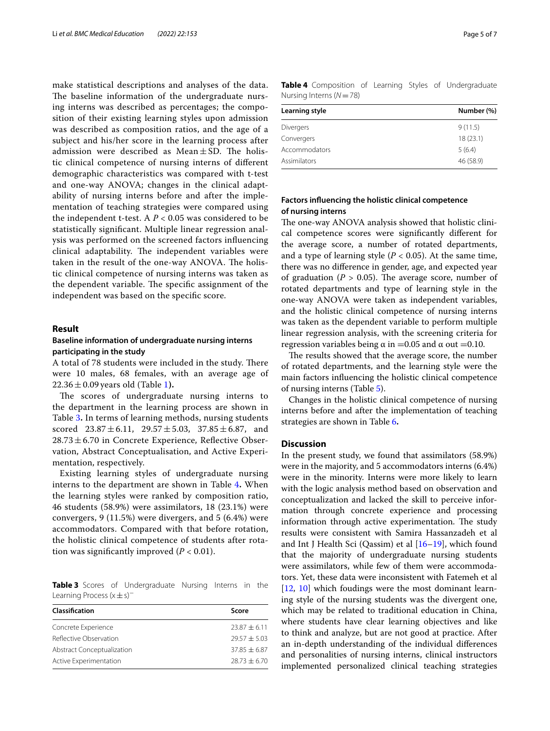make statistical descriptions and analyses of the data. The baseline information of the undergraduate nursing interns was described as percentages; the composition of their existing learning styles upon admission was described as composition ratios, and the age of a subject and his/her score in the learning process after admission were described as Mean $\pm$ SD. The holistic clinical competence of nursing interns of diferent demographic characteristics was compared with t-test and one-way ANOVA; changes in the clinical adaptability of nursing interns before and after the implementation of teaching strategies were compared using the independent t-test. A *P* < 0.05 was considered to be statistically signifcant. Multiple linear regression analysis was performed on the screened factors infuencing clinical adaptability. The independent variables were taken in the result of the one-way ANOVA. The holistic clinical competence of nursing interns was taken as the dependent variable. The specific assignment of the independent was based on the specifc score.

### **Result**

# **Baseline information of undergraduate nursing interns participating in the study**

A total of 78 students were included in the study. There were 10 males, 68 females, with an average age of  $22.36 \pm 0.09$  years old (Table [1](#page-1-0)).

The scores of undergraduate nursing interns to the department in the learning process are shown in Table [3](#page-4-0)**.** In terms of learning methods, nursing students scored  $23.87 \pm 6.11$ ,  $29.57 \pm 5.03$ ,  $37.85 \pm 6.87$ , and  $28.73 \pm 6.70$  in Concrete Experience, Reflective Observation, Abstract Conceptualisation, and Active Experimentation, respectively.

Existing learning styles of undergraduate nursing interns to the department are shown in Table [4](#page-4-1)**.** When the learning styles were ranked by composition ratio, 46 students (58.9%) were assimilators, 18 (23.1%) were convergers, 9 (11.5%) were divergers, and 5 (6.4%) were accommodators. Compared with that before rotation, the holistic clinical competence of students after rotation was significantly improved  $(P < 0.01)$ .

<span id="page-4-0"></span>**Table 3** Scores of Undergraduate Nursing Interns in the Learning Process (x±s)<sup>−</sup>

| <b>Classification</b>             | Score          |
|-----------------------------------|----------------|
| Concrete Experience               | $23.87 + 6.11$ |
| Reflective Observation            | $29.57 + 5.03$ |
| <b>Abstract Conceptualization</b> | $37.85 + 6.87$ |
| Active Experimentation            | $28.73 + 6.70$ |

<span id="page-4-1"></span>**Table 4** Composition of Learning Styles of Undergraduate Nursing Interns (*N*=78)

| Learning style | Number (%) |
|----------------|------------|
| Divergers      | 9(11.5)    |
| Convergers     | 18(23.1)   |
| Accommodators  | 5(6.4)     |
| Assimilators   | 46 (58.9)  |

# **Factors infuencing the holistic clinical competence of nursing interns**

The one-way ANOVA analysis showed that holistic clinical competence scores were signifcantly diferent for the average score, a number of rotated departments, and a type of learning style  $(P < 0.05)$ . At the same time, there was no diference in gender, age, and expected year of graduation ( $P > 0.05$ ). The average score, number of rotated departments and type of learning style in the one-way ANOVA were taken as independent variables, and the holistic clinical competence of nursing interns was taken as the dependent variable to perform multiple linear regression analysis, with the screening criteria for regression variables being  $α$  in =0.05 and  $α$  out =0.10.

The results showed that the average score, the number of rotated departments, and the learning style were the main factors infuencing the holistic clinical competence of nursing interns (Table [5](#page-5-0)).

Changes in the holistic clinical competence of nursing interns before and after the implementation of teaching strategies are shown in Table [6](#page-5-1)**.**

# **Discussion**

In the present study, we found that assimilators (58.9%) were in the majority, and 5 accommodators interns (6.4%) were in the minority. Interns were more likely to learn with the logic analysis method based on observation and conceptualization and lacked the skill to perceive information through concrete experience and processing information through active experimentation. The study results were consistent with Samira Hassanzadeh et al and Int J Health Sci (Qassim) et al [[16–](#page-6-13)[19\]](#page-6-14), which found that the majority of undergraduate nursing students were assimilators, while few of them were accommodators. Yet, these data were inconsistent with Fatemeh et al [[12,](#page-6-15) [10](#page-6-8)] which foudings were the most dominant learning style of the nursing students was the divergent one, which may be related to traditional education in China, where students have clear learning objectives and like to think and analyze, but are not good at practice. After an in-depth understanding of the individual diferences and personalities of nursing interns, clinical instructors implemented personalized clinical teaching strategies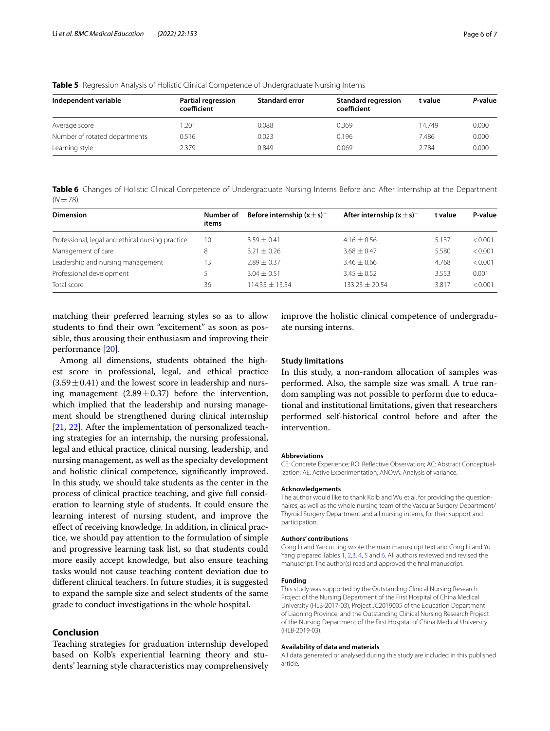| Independent variable          | Partial regression<br>coefficient | <b>Standard error</b> | <b>Standard regression</b><br>coefficient | t value | P-value |
|-------------------------------|-----------------------------------|-----------------------|-------------------------------------------|---------|---------|
| Average score                 | .201                              | 0.088                 | 0.369                                     | 14.749  | 0.000   |
| Number of rotated departments | 0.516                             | 0.023                 | 0.196                                     | 7.486   | 0.000   |
| Learning style                | 2.379                             | 0.849                 | 0.069                                     | 2.784   | 0.000   |

<span id="page-5-0"></span>**Table 5** Regression Analysis of Holistic Clinical Competence of Undergraduate Nursing Interns

<span id="page-5-1"></span>**Table 6** Changes of Holistic Clinical Competence of Undergraduate Nursing Interns Before and After Internship at the Department  $(N=78)$ 

| <b>Dimension</b>                                 | Number of<br>items | Before internship $(x \pm s)^{-}$ | After internship $(x \pm s)^{-}$ | t value | P-value |
|--------------------------------------------------|--------------------|-----------------------------------|----------------------------------|---------|---------|
| Professional, legal and ethical nursing practice | 10                 | $3.59 \pm 0.41$                   | $4.16 \pm 0.56$                  | 5.137   | < 0.001 |
| Management of care                               | 8                  | $3.21 \pm 0.26$                   | $3.68 \pm 0.47$                  | 5.580   | < 0.001 |
| Leadership and nursing management                | 13                 | $2.89 + 0.37$                     | $3.46 \pm 0.66$                  | 4.768   | < 0.001 |
| Professional development                         |                    | $3.04 \pm 0.51$                   | $3.45 \pm 0.52$                  | 3.553   | 0.001   |
| Total score                                      | 36                 | $114.35 + 13.54$                  | $133.23 + 20.54$                 | 3.817   | < 0.001 |

matching their preferred learning styles so as to allow students to fnd their own "excitement" as soon as possible, thus arousing their enthusiasm and improving their performance [[20\]](#page-6-16).

Among all dimensions, students obtained the highest score in professional, legal, and ethical practice  $(3.59 \pm 0.41)$  and the lowest score in leadership and nursing management  $(2.89 \pm 0.37)$  before the intervention, which implied that the leadership and nursing management should be strengthened during clinical internship [[21,](#page-6-17) [22](#page-6-18)]. After the implementation of personalized teaching strategies for an internship, the nursing professional, legal and ethical practice, clinical nursing, leadership, and nursing management, as well as the specialty development and holistic clinical competence, signifcantly improved. In this study, we should take students as the center in the process of clinical practice teaching, and give full consideration to learning style of students. It could ensure the learning interest of nursing student, and improve the efect of receiving knowledge. In addition, in clinical practice, we should pay attention to the formulation of simple and progressive learning task list, so that students could more easily accept knowledge, but also ensure teaching tasks would not cause teaching content deviation due to diferent clinical teachers. In future studies, it is suggested to expand the sample size and select students of the same grade to conduct investigations in the whole hospital.

# **Conclusion**

Teaching strategies for graduation internship developed based on Kolb's experiential learning theory and students' learning style characteristics may comprehensively improve the holistic clinical competence of undergraduate nursing interns.

### **Study limitations**

In this study, a non-random allocation of samples was performed. Also, the sample size was small. A true random sampling was not possible to perform due to educational and institutional limitations, given that researchers performed self-historical control before and after the intervention.

#### **Abbreviations**

CE: Concrete Experience; RO: Refective Observation; AC: Abstract Conceptualization; AE: Active Experimentation; ANOVA: Analysis of variance.

#### **Acknowledgements**

The author would like to thank Kolb and Wu et al. for providing the questionnaires, as well as the whole nursing team of the Vascular Surgery Department/ Thyroid Surgery Department and all nursing interns, for their support and participation.

#### **Authors' contributions**

Cong Li and Yancui Jing wrote the main manuscript text and Cong Li and Yu Yang prepared Tables [1,](#page-1-0) [2](#page-3-0),[3](#page-4-0), [4,](#page-4-1) [5](#page-5-0) and [6.](#page-5-1) All authors reviewed and revised the manuscript. The author(s) read and approved the fnal manuscript.

#### **Funding**

This study was supported by the Outstanding Clinical Nursing Research Project of the Nursing Department of the First Hospital of China Medical University (HLB-2017-03), Project JC2019005 of the Education Department of Liaoning Province, and the Outstanding Clinical Nursing Research Project of the Nursing Department of the First Hospital of China Medical University (HLB-2019-03).

#### **Availability of data and materials**

All data generated or analysed during this study are included in this published article.